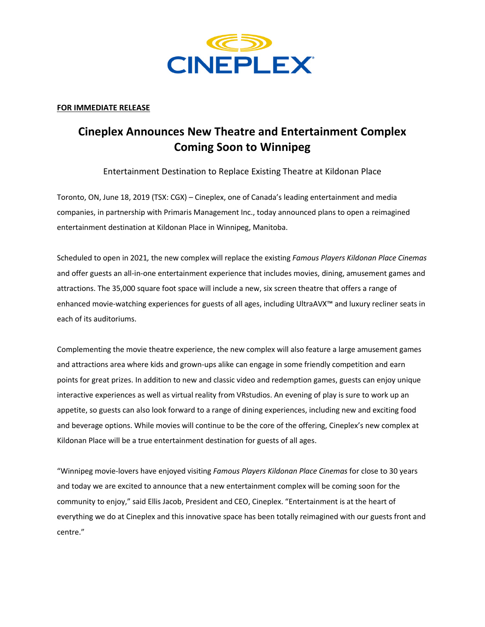

## **FOR IMMEDIATE RELEASE**

# **Cineplex Announces New Theatre and Entertainment Complex Coming Soon to Winnipeg**

Entertainment Destination to Replace Existing Theatre at Kildonan Place

Toronto, ON, June 18, 2019 (TSX: CGX) – Cineplex, one of Canada's leading entertainment and media companies, in partnership with Primaris Management Inc., today announced plans to open a reimagined entertainment destination at Kildonan Place in Winnipeg, Manitoba.

Scheduled to open in 2021*,* the new complex will replace the existing *Famous Players Kildonan Place Cinemas* and offer guests an all-in-one entertainment experience that includes movies, dining, amusement games and attractions. The 35,000 square foot space will include a new, six screen theatre that offers a range of enhanced movie-watching experiences for guests of all ages, including UltraAVX™ and luxury recliner seats in each of its auditoriums.

Complementing the movie theatre experience, the new complex will also feature a large amusement games and attractions area where kids and grown-ups alike can engage in some friendly competition and earn points for great prizes. In addition to new and classic video and redemption games, guests can enjoy unique interactive experiences as well as virtual reality from VRstudios. An evening of play is sure to work up an appetite, so guests can also look forward to a range of dining experiences, including new and exciting food and beverage options. While movies will continue to be the core of the offering, Cineplex's new complex at Kildonan Place will be a true entertainment destination for guests of all ages.

"Winnipeg movie-lovers have enjoyed visiting *Famous Players Kildonan Place Cinemas* for close to 30 years and today we are excited to announce that a new entertainment complex will be coming soon for the community to enjoy," said Ellis Jacob, President and CEO, Cineplex. "Entertainment is at the heart of everything we do at Cineplex and this innovative space has been totally reimagined with our guests front and centre."